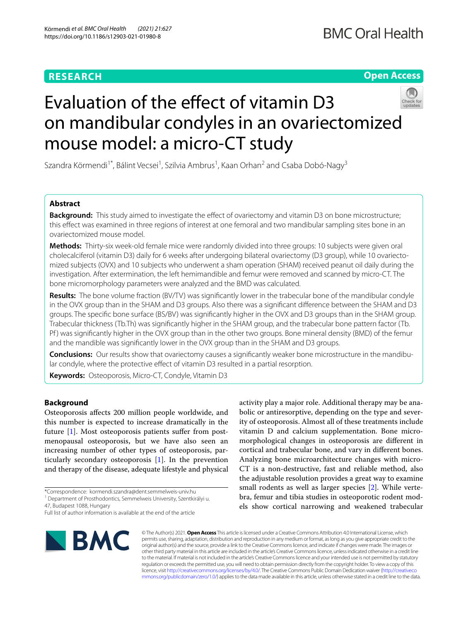# **RESEARCH**

# **Open Access**



# Evaluation of the effect of vitamin D3 on mandibular condyles in an ovariectomized mouse model: a micro-CT study

Szandra Körmendi<sup>1\*</sup>, Bálint Vecsei<sup>1</sup>, Szilvia Ambrus<sup>1</sup>, Kaan Orhan<sup>2</sup> and Csaba Dobó-Nagy<sup>3</sup>

## **Abstract**

**Background:** This study aimed to investigate the effect of ovariectomy and vitamin D3 on bone microstructure; this efect was examined in three regions of interest at one femoral and two mandibular sampling sites bone in an ovariectomized mouse model.

**Methods:** Thirty-six week-old female mice were randomly divided into three groups: 10 subjects were given oral cholecalciferol (vitamin D3) daily for 6 weeks after undergoing bilateral ovariectomy (D3 group), while 10 ovariectomized subjects (OVX) and 10 subjects who underwent a sham operation (SHAM) received peanut oil daily during the investigation. After extermination, the left hemimandible and femur were removed and scanned by micro-CT. The bone micromorphology parameters were analyzed and the BMD was calculated.

**Results:** The bone volume fraction (BV/TV) was signifcantly lower in the trabecular bone of the mandibular condyle in the OVX group than in the SHAM and D3 groups. Also there was a signifcant diference between the SHAM and D3 groups. The specifc bone surface (BS/BV) was signifcantly higher in the OVX and D3 groups than in the SHAM group. Trabecular thickness (Tb.Th) was signifcantly higher in the SHAM group, and the trabecular bone pattern factor (Tb. Pf) was significantly higher in the OVX group than in the other two groups. Bone mineral density (BMD) of the femur and the mandible was signifcantly lower in the OVX group than in the SHAM and D3 groups.

**Conclusions:** Our results show that ovariectomy causes a signifcantly weaker bone microstructure in the mandibu‑ lar condyle, where the protective effect of vitamin D3 resulted in a partial resorption.

**Keywords:** Osteoporosis, Micro-CT, Condyle, Vitamin D3

## **Background**

Osteoporosis afects 200 million people worldwide, and this number is expected to increase dramatically in the future [[1](#page-6-0)]. Most osteoporosis patients suffer from postmenopausal osteoporosis, but we have also seen an increasing number of other types of osteoporosis, particularly secondary osteoporosis [\[1](#page-6-0)]. In the prevention and therapy of the disease, adequate lifestyle and physical

\*Correspondence: kormendi.szandra@dent.semmelweis-univ.hu

<sup>1</sup> Department of Prosthodontics, Semmelweis University, Szentkirályi u.

47, Budapest 1088, Hungary

Full list of author information is available at the end of the article



activity play a major role. Additional therapy may be anabolic or antiresorptive, depending on the type and severity of osteoporosis. Almost all of these treatments include vitamin D and calcium supplementation. Bone micromorphological changes in osteoporosis are diferent in cortical and trabecular bone, and vary in diferent bones. Analyzing bone microarchitecture changes with micro-CT is a non-destructive, fast and reliable method, also the adjustable resolution provides a great way to examine small rodents as well as larger species [[2\]](#page-6-1). While vertebra, femur and tibia studies in osteoporotic rodent models show cortical narrowing and weakened trabecular

© The Author(s) 2021. **Open Access** This article is licensed under a Creative Commons Attribution 4.0 International License, which permits use, sharing, adaptation, distribution and reproduction in any medium or format, as long as you give appropriate credit to the original author(s) and the source, provide a link to the Creative Commons licence, and indicate if changes were made. The images or other third party material in this article are included in the article's Creative Commons licence, unless indicated otherwise in a credit line to the material. If material is not included in the article's Creative Commons licence and your intended use is not permitted by statutory regulation or exceeds the permitted use, you will need to obtain permission directly from the copyright holder. To view a copy of this licence, visit [http://creativecommons.org/licenses/by/4.0/.](http://creativecommons.org/licenses/by/4.0/) The Creative Commons Public Domain Dedication waiver ([http://creativeco](http://creativecommons.org/publicdomain/zero/1.0/) [mmons.org/publicdomain/zero/1.0/](http://creativecommons.org/publicdomain/zero/1.0/)) applies to the data made available in this article, unless otherwise stated in a credit line to the data.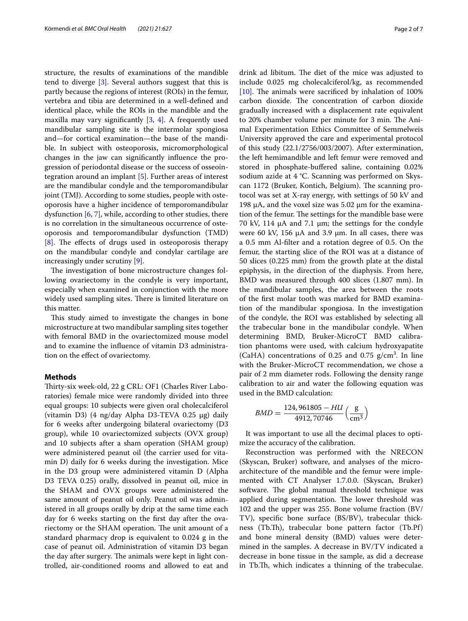structure, the results of examinations of the mandible tend to diverge [\[3](#page-6-2)]. Several authors suggest that this is partly because the regions of interest (ROIs) in the femur, vertebra and tibia are determined in a well-defned and identical place, while the ROIs in the mandible and the maxilla may vary signifcantly [\[3](#page-6-2), [4](#page-6-3)]. A frequently used mandibular sampling site is the intermolar spongiosa and—for cortical examination—the base of the mandible. In subject with osteoporosis, micromorphological changes in the jaw can signifcantly infuence the progression of periodontal disease or the success of osseointegration around an implant [[5\]](#page-6-4). Further areas of interest are the mandibular condyle and the temporomandibular joint (TMJ). According to some studies, people with osteoporosis have a higher incidence of temporomandibular dysfunction  $[6, 7]$  $[6, 7]$  $[6, 7]$  $[6, 7]$ , while, according to other studies, there is no correlation in the simultaneous occurrence of osteoporosis and temporomandibular dysfunction (TMD) [[8\]](#page-6-7). The effects of drugs used in osteoporosis therapy on the mandibular condyle and condylar cartilage are increasingly under scrutiny [\[9](#page-6-8)].

The investigation of bone microstructure changes following ovariectomy in the condyle is very important, especially when examined in conjunction with the more widely used sampling sites. There is limited literature on this matter.

This study aimed to investigate the changes in bone microstructure at two mandibular sampling sites together with femoral BMD in the ovariectomized mouse model and to examine the infuence of vitamin D3 administration on the efect of ovariectomy.

## **Methods**

Thirty-six week-old, 22 g CRL: OF1 (Charles River Laboratories) female mice were randomly divided into three equal groups: 10 subjects were given oral cholecalciferol (vitamin D3) (4 ng/day Alpha D3-TEVA 0.25 µg) daily for 6 weeks after undergoing bilateral ovariectomy (D3 group), while 10 ovariectomized subjects (OVX group) and 10 subjects after a sham operation (SHAM group) were administered peanut oil (the carrier used for vitamin D) daily for 6 weeks during the investigation. Mice in the D3 group were administered vitamin D (Alpha D3 TEVA 0.25) orally, dissolved in peanut oil, mice in the SHAM and OVX groups were administered the same amount of peanut oil only. Peanut oil was administered in all groups orally by drip at the same time each day for 6 weeks starting on the frst day after the ovariectomy or the SHAM operation. The unit amount of a standard pharmacy drop is equivalent to 0.024 g in the case of peanut oil. Administration of vitamin D3 began the day after surgery. The animals were kept in light controlled, air-conditioned rooms and allowed to eat and drink ad libitum. The diet of the mice was adjusted to include 0.025 mg cholecalciferol/kg, as recommended [ $10$ ]. The animals were sacrificed by inhalation of 100% carbon dioxide. The concentration of carbon dioxide gradually increased with a displacement rate equivalent to 20% chamber volume per minute for 3 min. The Animal Experimentation Ethics Committee of Semmelweis University approved the care and experimental protocol of this study (22.1/2756/003/2007). After extermination, the left hemimandible and left femur were removed and stored in phosphate-buffered saline, containing 0.02% sodium azide at 4 °C. Scanning was performed on Skyscan 1172 (Bruker, Kontich, Belgium). The scanning protocol was set at X-ray energy, with settings of 50 kV and 198  $\mu$ A, and the voxel size was 5.02  $\mu$ m for the examination of the femur. The settings for the mandible base were 70 kV, 114  $\mu$ A and 7.1  $\mu$ m; the settings for the condyle were 60 kV, 156  $\mu$ A and 3.9  $\mu$ m. In all cases, there was a 0.5 mm Al-flter and a rotation degree of 0.5. On the femur, the starting slice of the ROI was at a distance of 50 slices (0.225 mm) from the growth plate at the distal epiphysis, in the direction of the diaphysis. From here, BMD was measured through 400 slices (1.807 mm). In the mandibular samples, the area between the roots of the frst molar tooth was marked for BMD examination of the mandibular spongiosa. In the investigation of the condyle, the ROI was established by selecting all the trabecular bone in the mandibular condyle. When determining BMD, Bruker-MicroCT BMD calibration phantoms were used, with calcium hydroxyapatite (CaHA) concentrations of 0.25 and 0.75  $g/cm<sup>3</sup>$ . In line with the Bruker-MicroCT recommendation, we chose a pair of 2 mm diameter rods. Following the density range calibration to air and water the following equation was used in the BMD calculation:

$$
BMD = \frac{124,961805 - HUI}{4912,70746} \left(\frac{\text{g}}{\text{cm}^3}\right)
$$

It was important to use all the decimal places to optimize the accuracy of the calibration.

Reconstruction was performed with the NRECON (Skyscan, Bruker) software, and analyses of the microarchitecture of the mandible and the femur were implemented with CT Analyser 1.7.0.0. (Skyscan, Bruker) software. The global manual threshold technique was applied during segmentation. The lower threshold was 102 and the upper was 255. Bone volume fraction (BV/ TV), specifc bone surface (BS/BV), trabecular thickness (Tb.T), trabecular bone pattern factor (Tb.Pf) and bone mineral density (BMD) values were determined in the samples. A decrease in BV/TV indicated a decrease in bone tissue in the sample, as did a decrease in Tb.Th, which indicates a thinning of the trabeculae.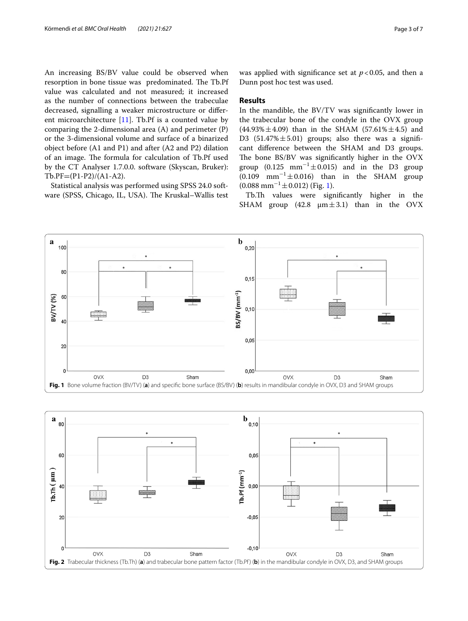An increasing BS/BV value could be observed when resorption in bone tissue was predominated. The Tb.Pf value was calculated and not measured; it increased as the number of connections between the trabeculae decreased, signalling a weaker microstructure or diferent microarchitecture [\[11](#page-6-10)]. Tb.Pf is a counted value by comparing the 2-dimensional area (A) and perimeter (P) or the 3-dimensional volume and surface of a binarized object before (A1 and P1) and after (A2 and P2) dilation of an image. The formula for calculation of Tb.Pf used by the CT Analyser 1.7.0.0. software (Skyscan, Bruker): Tb.PF=(P1-P2)/(A1-A2).

Statistical analysis was performed using SPSS 24.0 software (SPSS, Chicago, IL, USA). The Kruskal–Wallis test was applied with significance set at  $p < 0.05$ , and then a Dunn post hoc test was used.

## **Results**

In the mandible, the BV/TV was signifcantly lower in the trabecular bone of the condyle in the OVX group  $(44.93\% \pm 4.09)$  than in the SHAM  $(57.61\% \pm 4.5)$  and D3  $(51.47\% \pm 5.01)$  groups; also there was a significant diference between the SHAM and D3 groups. The bone BS/BV was significantly higher in the OVX group  $(0.125 \text{ mm}^{-1} \pm 0.015)$  and in the D3 group  $(0.109 \text{ mm}^{-1} \pm 0.016)$  than in the SHAM group  $(0.088$  mm<sup>-1</sup> $\pm$ 0.012) (Fig. [1](#page-2-0)).

Tb.Th values were significantly higher in the SHAM group (42.8  $\mu$ m $\pm$ 3.1) than in the OVX



<span id="page-2-1"></span><span id="page-2-0"></span>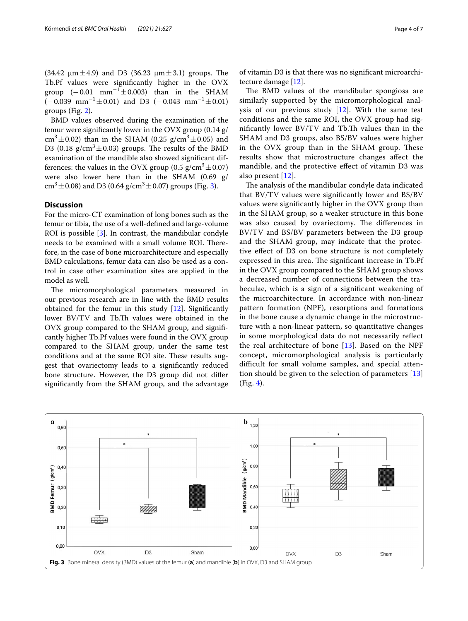$(34.42 \mu m \pm 4.9)$  and D3  $(36.23 \mu m \pm 3.1)$  groups. The Tb.Pf values were signifcantly higher in the OVX group  $(-0.01 \text{ mm}^{-1} \pm 0.003)$  than in the SHAM  $(-0.039$  mm<sup>-1</sup>±0.01) and D3  $(-0.043$  mm<sup>-1</sup>±0.01) groups (Fig. [2](#page-2-1)).

BMD values observed during the examination of the femur were signifcantly lower in the OVX group (0.14 g/  $\text{cm}^3 \pm 0.02$ ) than in the SHAM (0.25 g/cm<sup>3</sup> $\pm$ 0.05) and D3 (0.18  $g/cm^3 \pm 0.03$ ) groups. The results of the BMD examination of the mandible also showed signifcant differences: the values in the OVX group (0.5 g/cm<sup>3</sup> $\pm$ 0.07) were also lower here than in the SHAM (0.69 g/  $\text{cm}^3 \pm 0.08$ ) and D3 (0.64 g/cm<sup>3</sup> $\pm$ 0.07) groups (Fig. [3\)](#page-3-0).

## **Discussion**

For the micro-CT examination of long bones such as the femur or tibia, the use of a well-defned and large-volume ROI is possible [[3](#page-6-2)]. In contrast, the mandibular condyle needs to be examined with a small volume ROI. Therefore, in the case of bone microarchitecture and especially BMD calculations, femur data can also be used as a control in case other examination sites are applied in the model as well.

The micromorphological parameters measured in our previous research are in line with the BMD results obtained for the femur in this study [\[12](#page-6-11)]. Signifcantly lower BV/TV and Tb.Th values were obtained in the OVX group compared to the SHAM group, and signifcantly higher Tb.Pf values were found in the OVX group compared to the SHAM group, under the same test conditions and at the same ROI site. These results suggest that ovariectomy leads to a signifcantly reduced bone structure. However, the D3 group did not difer signifcantly from the SHAM group, and the advantage

of vitamin D3 is that there was no signifcant microarchitecture damage [\[12\]](#page-6-11).

The BMD values of the mandibular spongiosa are similarly supported by the micromorphological analysis of our previous study [[12](#page-6-11)]. With the same test conditions and the same ROI, the OVX group had significantly lower BV/TV and Tb.Th values than in the SHAM and D3 groups, also BS/BV values were higher in the OVX group than in the SHAM group. These results show that microstructure changes afect the mandible, and the protective efect of vitamin D3 was also present [[12](#page-6-11)].

The analysis of the mandibular condyle data indicated that BV/TV values were signifcantly lower and BS/BV values were signifcantly higher in the OVX group than in the SHAM group, so a weaker structure in this bone was also caused by ovariectomy. The differences in BV/TV and BS/BV parameters between the D3 group and the SHAM group, may indicate that the protective efect of D3 on bone structure is not completely expressed in this area. The significant increase in Tb.Pf in the OVX group compared to the SHAM group shows a decreased number of connections between the trabeculae, which is a sign of a signifcant weakening of the microarchitecture. In accordance with non-linear pattern formation (NPF), resorptions and formations in the bone cause a dynamic change in the microstructure with a non-linear pattern, so quantitative changes in some morphological data do not necessarily refect the real architecture of bone  $[13]$  $[13]$ . Based on the NPF concept, micromorphological analysis is particularly difficult for small volume samples, and special attention should be given to the selection of parameters [\[13](#page-6-12)] (Fig. [4\)](#page-4-0).

<span id="page-3-0"></span>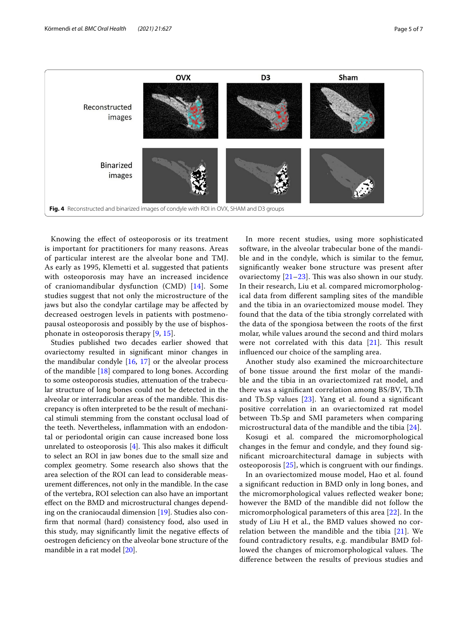

<span id="page-4-0"></span>Knowing the efect of osteoporosis or its treatment is important for practitioners for many reasons. Areas of particular interest are the alveolar bone and TMJ. As early as 1995, Klemetti et al. suggested that patients with osteoporosis may have an increased incidence of craniomandibular dysfunction (CMD) [[14](#page-6-13)]. Some studies suggest that not only the microstructure of the jaws but also the condylar cartilage may be afected by decreased oestrogen levels in patients with postmenopausal osteoporosis and possibly by the use of bisphosphonate in osteoporosis therapy [[9,](#page-6-8) [15\]](#page-6-14).

Studies published two decades earlier showed that ovariectomy resulted in signifcant minor changes in the mandibular condyle  $[16, 17]$  $[16, 17]$  $[16, 17]$  $[16, 17]$  $[16, 17]$  or the alveolar process of the mandible [\[18](#page-6-17)] compared to long bones. According to some osteoporosis studies, attenuation of the trabecular structure of long bones could not be detected in the alveolar or interradicular areas of the mandible. This discrepancy is often interpreted to be the result of mechanical stimuli stemming from the constant occlusal load of the teeth. Nevertheless, infammation with an endodontal or periodontal origin can cause increased bone loss unrelated to osteoporosis  $[4]$  $[4]$ . This also makes it difficult to select an ROI in jaw bones due to the small size and complex geometry. Some research also shows that the area selection of the ROI can lead to considerable measurement diferences, not only in the mandible. In the case of the vertebra, ROI selection can also have an important efect on the BMD and microstructural changes depending on the craniocaudal dimension [[19\]](#page-6-18). Studies also confrm that normal (hard) consistency food, also used in this study, may signifcantly limit the negative efects of oestrogen defciency on the alveolar bone structure of the mandible in a rat model [\[20](#page-6-19)].

In more recent studies, using more sophisticated software, in the alveolar trabecular bone of the mandible and in the condyle, which is similar to the femur, signifcantly weaker bone structure was present after ovariectomy  $[21-23]$  $[21-23]$  $[21-23]$  $[21-23]$  $[21-23]$ . This was also shown in our study. In their research, Liu et al. compared micromorphological data from diferent sampling sites of the mandible and the tibia in an ovariectomized mouse model. They found that the data of the tibia strongly correlated with the data of the spongiosa between the roots of the frst molar, while values around the second and third molars were not correlated with this data  $[21]$  $[21]$ . This result infuenced our choice of the sampling area.

Another study also examined the microarchitecture of bone tissue around the frst molar of the mandible and the tibia in an ovariectomized rat model, and there was a signifcant correlation among BS/BV, Tb.T and Tb.Sp values [[23](#page-6-21)]. Yang et al. found a signifcant positive correlation in an ovariectomized rat model between Tb.Sp and SMI parameters when comparing microstructural data of the mandible and the tibia [[24](#page-6-22)].

Kosugi et al. compared the micromorphological changes in the femur and condyle, and they found signifcant microarchitectural damage in subjects with osteoporosis [[25\]](#page-6-23), which is congruent with our fndings.

In an ovariectomized mouse model, Hao et al. found a signifcant reduction in BMD only in long bones, and the micromorphological values refected weaker bone; however the BMD of the mandible did not follow the micromorphological parameters of this area [[22\]](#page-6-24). In the study of Liu H et al., the BMD values showed no correlation between the mandible and the tibia [[21\]](#page-6-20). We found contradictory results, e.g. mandibular BMD followed the changes of micromorphological values. The diference between the results of previous studies and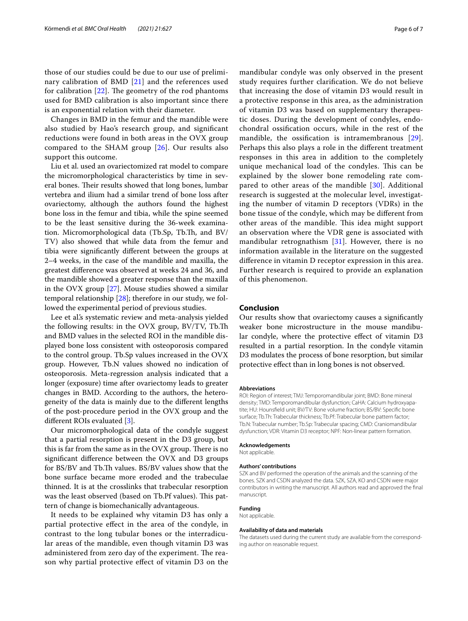those of our studies could be due to our use of preliminary calibration of BMD [\[21\]](#page-6-20) and the references used for calibration  $[22]$ . The geometry of the rod phantoms used for BMD calibration is also important since there is an exponential relation with their diameter.

Changes in BMD in the femur and the mandible were also studied by Hao's research group, and signifcant reductions were found in both areas in the OVX group compared to the SHAM group [[26](#page-6-25)]. Our results also support this outcome.

Liu et al. used an ovariectomized rat model to compare the micromorphological characteristics by time in several bones. Their results showed that long bones, lumbar vertebra and ilium had a similar trend of bone loss after ovariectomy, although the authors found the highest bone loss in the femur and tibia, while the spine seemed to be the least sensitive during the 36-week examination. Micromorphological data (Tb.Sp, Tb.Th, and BV/ TV) also showed that while data from the femur and tibia were signifcantly diferent between the groups at 2–4 weeks, in the case of the mandible and maxilla, the greatest diference was observed at weeks 24 and 36, and the mandible showed a greater response than the maxilla in the OVX group [\[27](#page-6-26)]. Mouse studies showed a similar temporal relationship [[28\]](#page-6-27); therefore in our study, we followed the experimental period of previous studies.

Lee et al.'s systematic review and meta-analysis yielded the following results: in the OVX group, BV/TV, Tb.T and BMD values in the selected ROI in the mandible displayed bone loss consistent with osteoporosis compared to the control group. Tb.Sp values increased in the OVX group. However, Tb.N values showed no indication of osteoporosis. Meta-regression analysis indicated that a longer (exposure) time after ovariectomy leads to greater changes in BMD. According to the authors, the heterogeneity of the data is mainly due to the diferent lengths of the post-procedure period in the OVX group and the diferent ROIs evaluated [[3](#page-6-2)].

Our micromorphological data of the condyle suggest that a partial resorption is present in the D3 group, but this is far from the same as in the  $O<sub>YX</sub>$  group. There is no signifcant diference between the OVX and D3 groups for BS/BV and Tb.Th values. BS/BV values show that the bone surface became more eroded and the trabeculae thinned. It is at the crosslinks that trabecular resorption was the least observed (based on Tb.Pf values). This pattern of change is biomechanically advantageous.

It needs to be explained why vitamin D3 has only a partial protective efect in the area of the condyle, in contrast to the long tubular bones or the interradicular areas of the mandible, even though vitamin D3 was administered from zero day of the experiment. The reason why partial protective efect of vitamin D3 on the mandibular condyle was only observed in the present study requires further clarifcation. We do not believe that increasing the dose of vitamin D3 would result in a protective response in this area, as the administration of vitamin D3 was based on supplementary therapeutic doses. During the development of condyles, endochondral ossifcation occurs, while in the rest of the mandible, the ossification is intramembranous [[29](#page-6-28)]. Perhaps this also plays a role in the diferent treatment responses in this area in addition to the completely unique mechanical load of the condyles. This can be explained by the slower bone remodeling rate com-pared to other areas of the mandible [[30](#page-6-29)]. Additional research is suggested at the molecular level, investigating the number of vitamin D receptors (VDRs) in the bone tissue of the condyle, which may be diferent from other areas of the mandible. This idea might support an observation where the VDR gene is associated with mandibular retrognathism [[31\]](#page-6-30). However, there is no information available in the literature on the suggested diference in vitamin D receptor expression in this area. Further research is required to provide an explanation of this phenomenon.

## **Conclusion**

Our results show that ovariectomy causes a signifcantly weaker bone microstructure in the mouse mandibular condyle, where the protective efect of vitamin D3 resulted in a partial resorption. In the condyle vitamin D3 modulates the process of bone resorption, but similar protective efect than in long bones is not observed.

#### **Abbreviations**

ROI: Region of interest; TMJ: Temporomandibular joint; BMD: Bone mineral density; TMD: Temporomandibular dysfunction; CaHA: Calcium hydroxyapa‑ tite; HU: Hounsfeld unit; BV/TV: Bone volume fraction; BS/BV: Specifc bone surface; Tb.Th: Trabecular thickness; Tb.Pf: Trabecular bone pattern factor; Tb.N: Trabecular number; Tb.Sp: Trabecular spacing; CMD: Craniomandibular dysfunction; VDR: Vitamin D3 receptor; NPF: Non-linear pattern formation.

#### **Acknowledgements**

Not applicable.

#### **Authors' contributions**

SZK and BV performed the operation of the animals and the scanning of the bones. SZK and CSDN analyzed the data. SZK, SZA, KO and CSDN were major contributors in writing the manuscript. All authors read and approved the fnal manuscript.

## **Funding**

Not applicable.

#### **Availability of data and materials**

The datasets used during the current study are available from the corresponding author on reasonable request.